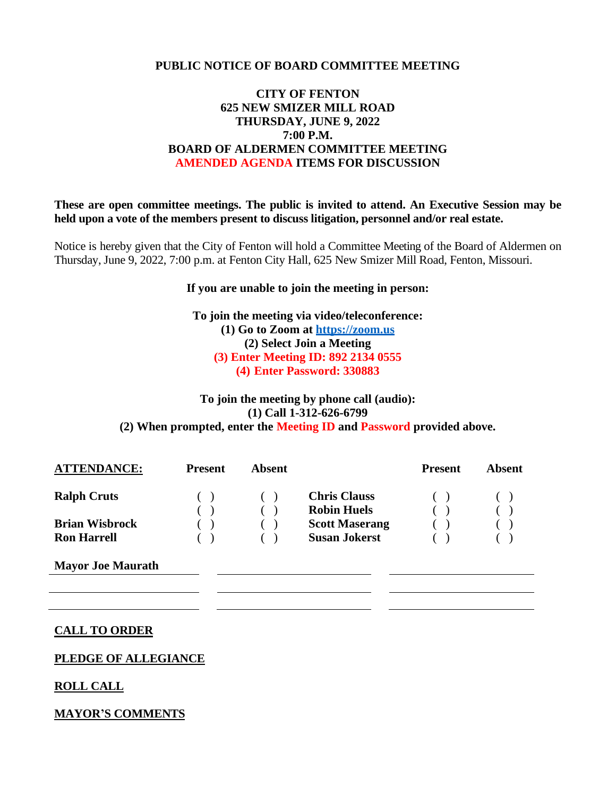## **PUBLIC NOTICE OF BOARD COMMITTEE MEETING**

# **CITY OF FENTON 625 NEW SMIZER MILL ROAD THURSDAY, JUNE 9, 2022 7:00 P.M. BOARD OF ALDERMEN COMMITTEE MEETING AMENDED AGENDA ITEMS FOR DISCUSSION**

**These are open committee meetings. The public is invited to attend. An Executive Session may be held upon a vote of the members present to discuss litigation, personnel and/or real estate.**

Notice is hereby given that the City of Fenton will hold a Committee Meeting of the Board of Aldermen on Thursday, June 9, 2022, 7:00 p.m. at Fenton City Hall, 625 New Smizer Mill Road, Fenton, Missouri.

**If you are unable to join the meeting in person:**

**To join the meeting via video/teleconference: (1) Go to Zoom at [https://zoom.us](https://zoom.us/) (2) Select Join a Meeting (3) Enter Meeting ID: 892 2134 0555 (4) Enter Password: 330883**

# **To join the meeting by phone call (audio): (1) Call 1-312-626-6799 (2) When prompted, enter the Meeting ID and Password provided above.**

| <b>ATTENDANCE:</b>    | <b>Present</b> | Absent |                       | <b>Present</b> | Absent |
|-----------------------|----------------|--------|-----------------------|----------------|--------|
| <b>Ralph Cruts</b>    |                |        | <b>Chris Clauss</b>   |                |        |
|                       |                |        | <b>Robin Huels</b>    |                |        |
| <b>Brian Wisbrock</b> |                |        | <b>Scott Maserang</b> |                |        |
| <b>Ron Harrell</b>    |                |        | <b>Susan Jokerst</b>  |                |        |

**Mayor Joe Maurath**

#### **CALL TO ORDER**

#### **PLEDGE OF ALLEGIANCE**

## **ROLL CALL**

## **MAYOR'S COMMENTS**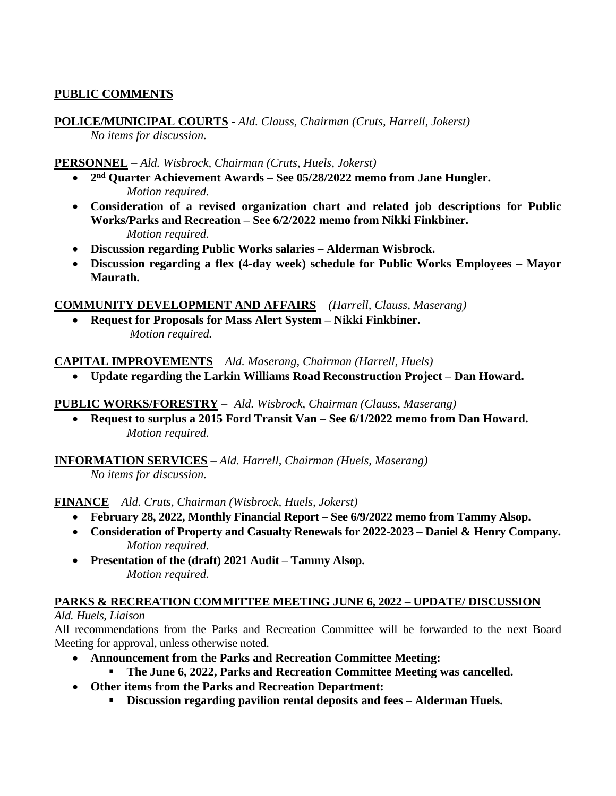# **PUBLIC COMMENTS**

**POLICE/MUNICIPAL COURTS -** *Ald. Clauss, Chairman (Cruts, Harrell, Jokerst) No items for discussion.*

**PERSONNEL** – *Ald. Wisbrock, Chairman (Cruts, Huels, Jokerst)*

- **2 nd Quarter Achievement Awards – See 05/28/2022 memo from Jane Hungler.** *Motion required.*
- **Consideration of a revised organization chart and related job descriptions for Public Works/Parks and Recreation – See 6/2/2022 memo from Nikki Finkbiner.** *Motion required.*
- **Discussion regarding Public Works salaries – Alderman Wisbrock.**
- **Discussion regarding a flex (4-day week) schedule for Public Works Employees – Mayor Maurath.**

**COMMUNITY DEVELOPMENT AND AFFAIRS** – *(Harrell, Clauss, Maserang)*

• **Request for Proposals for Mass Alert System – Nikki Finkbiner.** *Motion required.*

**CAPITAL IMPROVEMENTS** – *Ald. Maserang, Chairman (Harrell, Huels)*

• **Update regarding the Larkin Williams Road Reconstruction Project – Dan Howard.**

## **PUBLIC WORKS/FORESTRY** – *Ald. Wisbrock, Chairman (Clauss, Maserang)*

• **Request to surplus a 2015 Ford Transit Van – See 6/1/2022 memo from Dan Howard.** *Motion required.*

**INFORMATION SERVICES** – *Ald. Harrell, Chairman (Huels, Maserang)*

*No items for discussion.*

**FINANCE** – *Ald. Cruts, Chairman (Wisbrock, Huels, Jokerst)*

- **February 28, 2022, Monthly Financial Report – See 6/9/2022 memo from Tammy Alsop.**
- **Consideration of Property and Casualty Renewals for 2022-2023 – Daniel & Henry Company.** *Motion required.*
- **Presentation of the (draft) 2021 Audit – Tammy Alsop.** *Motion required.*

# **PARKS & RECREATION COMMITTEE MEETING JUNE 6, 2022 – UPDATE/ DISCUSSION**

# *Ald. Huels, Liaison*

All recommendations from the Parks and Recreation Committee will be forwarded to the next Board Meeting for approval, unless otherwise noted.

- **Announcement from the Parks and Recreation Committee Meeting:**
	- **The June 6, 2022, Parks and Recreation Committee Meeting was cancelled.**
- **Other items from the Parks and Recreation Department:**
	- **Discussion regarding pavilion rental deposits and fees – Alderman Huels.**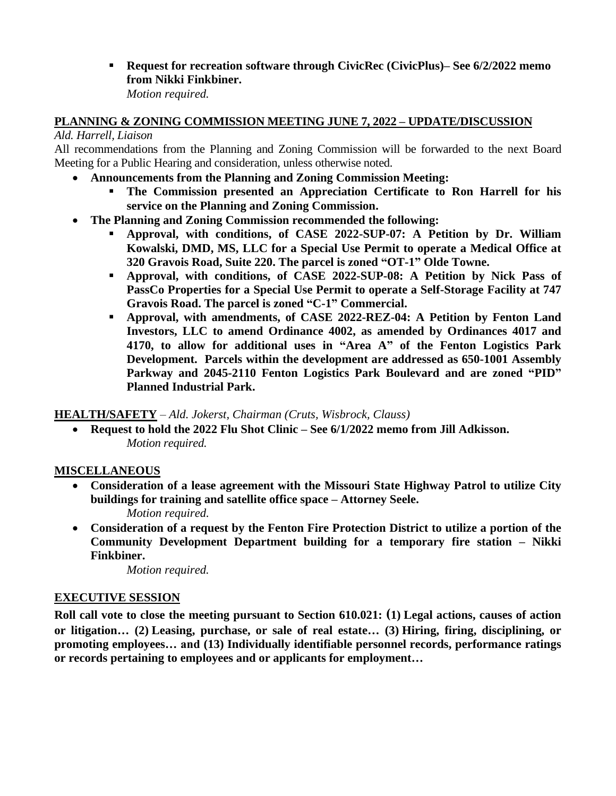# ▪ **Request for recreation software through CivicRec (CivicPlus)– See 6/2/2022 memo from Nikki Finkbiner.**

*Motion required.*

# **PLANNING & ZONING COMMISSION MEETING JUNE 7, 2022 – UPDATE/DISCUSSION**

## *Ald. Harrell, Liaison*

All recommendations from the Planning and Zoning Commission will be forwarded to the next Board Meeting for a Public Hearing and consideration, unless otherwise noted.

- **Announcements from the Planning and Zoning Commission Meeting:**
	- **The Commission presented an Appreciation Certificate to Ron Harrell for his service on the Planning and Zoning Commission.**
- **The Planning and Zoning Commission recommended the following:**
	- **Approval, with conditions, of CASE 2022-SUP-07: A Petition by Dr. William Kowalski, DMD, MS, LLC for a Special Use Permit to operate a Medical Office at 320 Gravois Road, Suite 220. The parcel is zoned "OT-1" Olde Towne.**
	- **Approval, with conditions, of CASE 2022-SUP-08: A Petition by Nick Pass of PassCo Properties for a Special Use Permit to operate a Self-Storage Facility at 747 Gravois Road. The parcel is zoned "C-1" Commercial.**
	- **Approval, with amendments, of CASE 2022-REZ-04: A Petition by Fenton Land Investors, LLC to amend Ordinance 4002, as amended by Ordinances 4017 and 4170, to allow for additional uses in "Area A" of the Fenton Logistics Park Development. Parcels within the development are addressed as 650-1001 Assembly Parkway and 2045-2110 Fenton Logistics Park Boulevard and are zoned "PID" Planned Industrial Park.**

# **HEALTH/SAFETY** – *Ald. Jokerst, Chairman (Cruts, Wisbrock, Clauss)*

• **Request to hold the 2022 Flu Shot Clinic – See 6/1/2022 memo from Jill Adkisson.** *Motion required.*

# **MISCELLANEOUS**

- **Consideration of a lease agreement with the Missouri State Highway Patrol to utilize City buildings for training and satellite office space – Attorney Seele.** *Motion required.*
- **Consideration of a request by the Fenton Fire Protection District to utilize a portion of the Community Development Department building for a temporary fire station – Nikki Finkbiner.**

*Motion required.*

## **EXECUTIVE SESSION**

**Roll call vote to close the meeting pursuant to Section 610.021: (1) Legal actions, causes of action or litigation… (2) Leasing, purchase, or sale of real estate… (3) Hiring, firing, disciplining, or promoting employees… and (13) Individually identifiable personnel records, performance ratings or records pertaining to employees and or applicants for employment…**